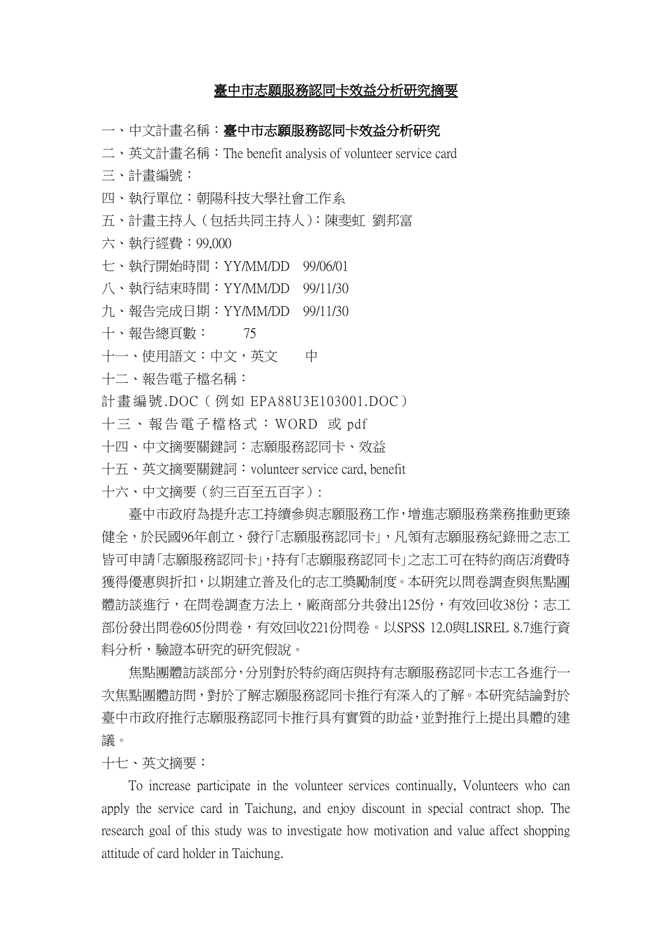## 臺中市志願服務認同卡效益分析研究摘要

一、中文計書名稱:臺中市志願服務認同卡效益分析研究

二、英文計畫名稱:The benefit analysis of volunteer service card

三、計畫編號:

四、執行單位:朝陽科技大學社會工作系

五、計畫主持人(包括共同主持人):陳斐虹 劉邦富

六、執行經費:99,000

七、執行開始時間:YY/MM/DD 99/06/01

八、執行結束時間:YY/MM/DD 99/11/30

九、報告完成日期:YY/MM/DD 99/11/30

十、報告總頁數: 75

十一、使用語文:中文,英文 中

十二、報告電子檔名稱:

計畫編號.DOC (例如 EPA88U3E103001.DOC)

十三 、報告電子檔格式:WORD 或 pdf

十四、中文摘要關鍵詞:志願服務認同卡、效益

十五、英文摘要關鍵詞:volunteer service card, benefit

十六、中文摘要(約三百至五百字):

臺中市政府為提升志工持續參與志願服務工作,增進志願服務業務推動更臻 健全,於民國96年創立、發行「志願服務認同卡」,凡領有志願服務紀錄冊之志工 皆可申請「志願服務認同卡」,持有「志願服務認同卡」之志工可在特約商店消費時 獲得優惠與折扣,以期建立普及化的志工獎勵制度。本研究以問卷調查與焦點團 體訪談進行, 在問卷調查方法上,廠商部分共發出125份, 有效回收38份; 志工 部份發出問卷605份問卷,有效回收221份問卷。以SPSS 12.0與LISREL 8.7進行資 料分析,驗證本研究的研究假說。

焦點團體訪談部分,分別對於特約商店與持有志願服務認同卡志工各進行一 次焦點團體訪問,對於了解志願服務認同卡推行有深入的了解。本研究結論對於 臺中市政府推行志願服務認同卡推行具有實質的助益,並對推行上提出具體的建 議。

十七、英文摘要:

To increase participate in the volunteer services continually, Volunteers who can apply the service card in Taichung, and enjoy discount in special contract shop. The research goal of this study was to investigate how motivation and value affect shopping attitude of card holder in Taichung.